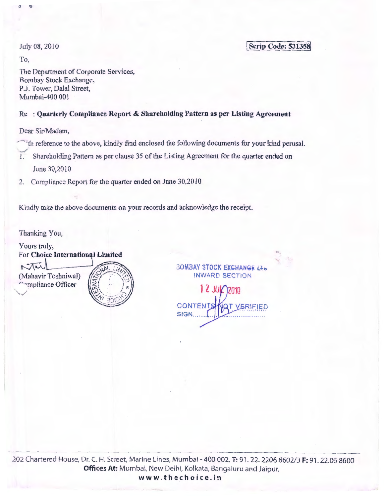July 08,2010

**Scrip Code: 531358** 

To,

 $\overline{\phantom{a}}$ 

, 'ill

The Department of Corporate Services, Bombay Stock Exchange, P.J. Tower, Dalal Street, Mumbai-400 001

# Re : Quarterly Compliance Report & Shareholding Pattern as per Listing Agreement

Dear Sir/Madam,

- th reference to the above, kindly find enclosed the following documents for your kind perusal.
- Shareholding Pattern as per clause 35 of the Listing Agreement for the quarter ended on June 30,2010
- 2. Compliance Report for the quarter ended on June 30,2010

Kindly take the above documents on your records and acknowledge the receipt.

Thanking You,



BOMBAY STOCK EXGHANGE Lib INWARD SECTION

12 2010 **CONTEN** . . *. . . . . . . . . .* . SIGN.

202 Chartered House, Dr. C. H. Street, Marine Lines, Mumbai- 400 002, T: 91. 22. 2206 8602/3 F: 91. 22.06 8600 **Offices At:** Mumbai, New Delhi, Kolkata, Bangaluru and Jaipur. www.thechoice.in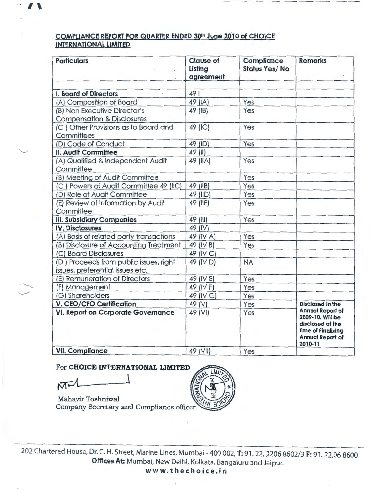## **COMPLIANCE REPORT FOR QUARTER ENDED 301 h June 2010 of CHOICE INTERNATIONAL LIMITED**

| <b>Particulars</b>                                                         | <b>Clause of</b><br>Listing<br>agreement | Compliance<br><b>Status Yes/No</b> | <b>Remarks</b>                                                                                                              |
|----------------------------------------------------------------------------|------------------------------------------|------------------------------------|-----------------------------------------------------------------------------------------------------------------------------|
| I. Board of Directors                                                      | 491                                      |                                    |                                                                                                                             |
| (A) Composition of Board                                                   | 49 (IA)                                  | Yes                                |                                                                                                                             |
| (B) Non Executive Director's                                               | 49 (IB)                                  | Yes                                |                                                                                                                             |
| <b>Compensation &amp; Disclosures</b>                                      |                                          |                                    |                                                                                                                             |
| (C) Other Provisions as to Board and                                       | 49 (IC)                                  | Yes                                |                                                                                                                             |
| Committees                                                                 |                                          |                                    |                                                                                                                             |
| (D) Code of Conduct                                                        | 49 (ID)                                  | Yes                                |                                                                                                                             |
| II. Audit Committee                                                        | 49 (II)                                  |                                    |                                                                                                                             |
| (A) Qualified & Independent Audit<br>Committee                             | 49 (IIA)                                 | Yes                                |                                                                                                                             |
| (B) Meeting of Audit Committee                                             |                                          | Yes                                |                                                                                                                             |
| (C) Powers of Audit Committee 49 (IIC)                                     | 49 (IIB)                                 | Yes                                |                                                                                                                             |
| (D) Role of Audit Committee                                                | 49 (IID)                                 | Yes                                |                                                                                                                             |
| (E) Review of Information by Audit                                         | 49 (IIE)                                 | Yes                                |                                                                                                                             |
| Committee                                                                  |                                          |                                    |                                                                                                                             |
| <b>III. Subsidiary Companies</b>                                           | 49 (III)                                 | Yes                                |                                                                                                                             |
| <b>IV. Disclosures</b>                                                     | 49 (IV)                                  |                                    |                                                                                                                             |
| (A) Basis of related party transactions                                    | 49 (IV A)                                | Yes                                |                                                                                                                             |
| (B) Disclosure of Accounting Treatment                                     | 49 (IV B)                                | Yes                                |                                                                                                                             |
| (C) Board Disclosures                                                      | 49 (IV C)                                |                                    |                                                                                                                             |
| (D) Proceeds from public issues, right<br>issues, preferential issues etc. | 49 (IV D)                                | <b>NA</b>                          |                                                                                                                             |
| (E) Remuneration of Directors                                              | 49 (IV E)                                | Yes                                |                                                                                                                             |
| (F) Management                                                             | 49 (IV F)                                | Yes                                |                                                                                                                             |
| (G) Shareholders                                                           | 49 (IV G)                                | Yes                                |                                                                                                                             |
| V. CEO/CFO Certification                                                   | 49 (V)                                   | Yes                                | <b>Disclosed in the</b>                                                                                                     |
| <b>VI. Report on Corporate Governance</b>                                  | 49 (VI)                                  | Yes                                | <b>Annual Report of</b><br>2009-10. Will be<br>disclosed at the<br>time of Finalizing<br><b>Annual Report of</b><br>2010-11 |
| <b>VII. Compliance</b>                                                     | 49 (VII)                                 | Yes                                |                                                                                                                             |

For CHOICE INTERNATIONAL LIMITED

 $\sqrt{M}$ 

Mahavir Toshniwal Company Secretary and Compliance officer



202 Chartered House, Dr. C. H. Street, Marine Lines, Mumbai- 400 002, **T:** 91. 22. 2206 8602/3 **F:** 91. 22.06 8600 **Offices At:** Mumbai, New Delhi, Kolkata, Bangaluru and Jaipur.

**<sup>w</sup> <sup>w</sup> w.t h echoice.i <sup>n</sup>**

·-

 $\smile$ 

--.......,\_\_ .\_\_\_,\_.,.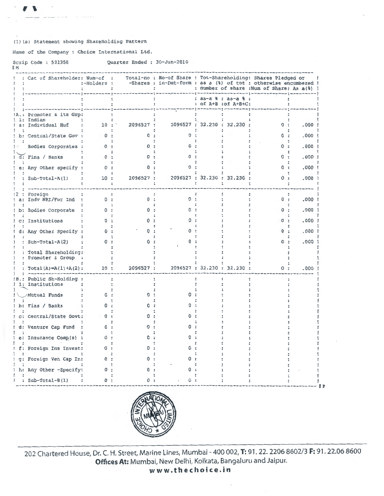#### (1) (a) Statement showing ShareHolding Pattern

Name of the Company : Choice International Ltd.

|           |  | Scrip Code: 531358 |  | Quarter Ended : 30-Jun-2010 |
|-----------|--|--------------------|--|-----------------------------|
| <b>IM</b> |  |                    |  |                             |

| : Cat of Shareholder: Num-of : | :-Holders : |           |   | Total-no : No-of Share : Tot-Shareholding: Shares Pledged or<br>-Shares : in-Dmt-form : as a (%) of tot : otherwise encumbered !<br>: number of share : Num of Share: As a (%) |                                             |          |       |
|--------------------------------|-------------|-----------|---|--------------------------------------------------------------------------------------------------------------------------------------------------------------------------------|---------------------------------------------|----------|-------|
|                                |             |           |   |                                                                                                                                                                                | : as-a % : as-a % :<br>: of A+B : of A+B+C: |          |       |
| Promoter & its Grp:            |             |           |   |                                                                                                                                                                                |                                             |          |       |
| Indian<br>Individual Huf       | 10:         | 2096527 : |   |                                                                                                                                                                                | 2096527 : 32.230 : 32.230 :                 | 0:       | .000  |
| b: Central/State Gov           |             |           |   |                                                                                                                                                                                |                                             |          | .000  |
| Bodies Corporates :            | $\Omega$ .  |           |   |                                                                                                                                                                                |                                             |          | .000  |
| d: Fins / Banks                | 0:          |           |   |                                                                                                                                                                                |                                             | $\Omega$ | .000  |
| e: Any Other specify :         | 0:          |           |   |                                                                                                                                                                                |                                             |          | .000  |
|                                |             |           |   |                                                                                                                                                                                |                                             |          |       |
| $Sub-Total-A(1)$               | 10:         | 2096527 : |   |                                                                                                                                                                                | 2096527 : 32.230 : 32.230                   | 0        | .000. |
| Foreign                        |             |           |   |                                                                                                                                                                                |                                             |          |       |
| Indv NRI/For Ind :             | 0:          | 0:        | 0 |                                                                                                                                                                                |                                             | 0:       | .000  |
| b: Bodies Corporate            | 0:          | n         |   |                                                                                                                                                                                |                                             |          | .000  |
| c: Institutions                | n.          |           |   |                                                                                                                                                                                |                                             |          | .000  |
| d: Any Other Specify :         | <u>n -</u>  |           |   |                                                                                                                                                                                |                                             |          | .000  |
| : Sub-Total-A(2)               | 0           |           |   |                                                                                                                                                                                |                                             |          | .000  |
| : Total Shareholding:          |             |           |   |                                                                                                                                                                                |                                             |          |       |
| : Promoter & Group             |             |           |   |                                                                                                                                                                                |                                             |          |       |
| : $Total(A) = A(1) + A(2)$ :   | 10:         | 2096527 : |   |                                                                                                                                                                                | 2096527 : 32.230 : 32.230 :                 | 0:       | .000  |
| .: Public Sh-Holding :         |             |           |   |                                                                                                                                                                                |                                             |          |       |
| 1: Institutions                |             |           |   |                                                                                                                                                                                |                                             |          |       |
| /Mutual Funds                  | n.          |           |   |                                                                                                                                                                                |                                             |          |       |
| b: Fins / Banks                |             |           |   |                                                                                                                                                                                |                                             |          |       |
| c: Central/State Govt:         |             |           |   |                                                                                                                                                                                |                                             |          |       |
| d: Venture Cap Fund            | Ω           |           |   |                                                                                                                                                                                |                                             |          |       |
| e: Insurance Comp(s)           |             |           |   |                                                                                                                                                                                |                                             |          |       |
| f: Foreign Ins Invest:         |             |           |   |                                                                                                                                                                                |                                             |          |       |
|                                |             |           |   |                                                                                                                                                                                |                                             |          |       |
| g: Foreign Ven Cap In:         |             |           |   |                                                                                                                                                                                |                                             |          |       |
| h: Any Other -Specify:         |             |           |   |                                                                                                                                                                                |                                             |          |       |
| : Sub-Total-B(1)               |             |           |   |                                                                                                                                                                                |                                             |          |       |



202 Chartered House, Dr. C. H. Street, Marine Lines, Mumbai - 400 002, T: 91. 22. 2206 8602/3 F: 91. 22.06 8600 Offices At: Mumbai, New Delhi, Kolkata, Bangaluru and Jaipur.

www.thechoice.in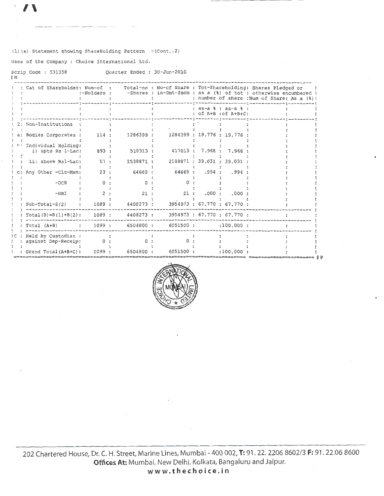### (1) (a) Statement showing ShareHolding Pattern  $-(\text{Cont. .2})$

Name of the Company : Choice International Ltd.

Scrip Code : 531358 Quarter Ended : 30-Jun-2010  $\mathbb I$  M

|     | : Cat of Shareholder: Num-of : Total-no : No-of Share : Tot-Shareholding: Shares Pledged or | :-Holders :   |           | -Shares : in-Dmt-form : as a (%) of tot : otherwise encumbered ! |                  |                                                   | : number of share : Num of Share: As a (%) ! |  |
|-----|---------------------------------------------------------------------------------------------|---------------|-----------|------------------------------------------------------------------|------------------|---------------------------------------------------|----------------------------------------------|--|
|     |                                                                                             |               |           |                                                                  |                  | $: as-a$ $s : as-a$ $s :$<br>: of A+B : of A+B+C: |                                              |  |
|     | 2: Non-Institutions                                                                         |               |           |                                                                  |                  |                                                   |                                              |  |
|     | a: Bodies Corporates :                                                                      | 114:          | 1286399 : | 1284399 : 19.776 : 19.776 :                                      |                  |                                                   |                                              |  |
|     | h. Individual Holding:<br>i) upto Rs 1-Lac:                                                 | 893:          | 518313 :  |                                                                  | 417013 : 7.968 : | 7.968                                             |                                              |  |
|     | ii) above Rs1-Lac:                                                                          | 57:           | 2538871:  |                                                                  |                  | 2188871: 39.031: 39.031                           |                                              |  |
|     | Any Other -Clr-Mem:                                                                         | 23:           | 64669 :   |                                                                  | 64669: .994:     | .994                                              |                                              |  |
|     | $-OCB$                                                                                      | $\Omega$      |           |                                                                  |                  |                                                   |                                              |  |
|     | $-NRI$                                                                                      | $\mathcal{P}$ | 21 :      | 21:                                                              | .000:            | .000                                              |                                              |  |
|     | $Sub-Total-B(2)$                                                                            | 1089 :        | 4408273 : |                                                                  |                  | 3954973 : 67.770 : 67.770 :                       |                                              |  |
|     | $Total(B)=B(1)+B(2)$ :                                                                      | 1089:         | 4408273:  |                                                                  |                  | 3954973 : 67.770 : 67.770 :                       |                                              |  |
|     | Total (A+B)                                                                                 | : 1099:       |           | 6504800: 6051500:                                                |                  | :100.000:                                         |                                              |  |
| ! C | Held by Custodian :<br>against Dep-Receip:                                                  | $\Omega$      |           |                                                                  |                  |                                                   |                                              |  |
|     | Grand Total (A+B+C):                                                                        | 1099          | 6504800:  | 6051500:                                                         |                  | :100.000                                          |                                              |  |



202 Chartered House, Dr. C. H. Street, Marine Lines, Mumbai - 400 002, T: 91. 22. 2206 8602/3 F: 91. 22.06 8600 Offices At: Mumbai, New Delhi, Kolkata, Bangaluru and Jaipur. www.thechoice.in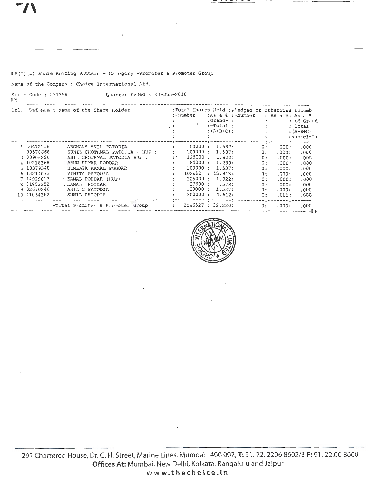$- - -$ 

. . . . .

As a %<br>of Grand Total  $(A+B+C)$ sub-cl-Ia ----- $.000$  $.000$  $.000$ .000  $.000$  $.000$  $.000$  $.000$  $.000$  $.000$ 

----

—— <u>:</u> ·

[P(I)(b) Share Holding Pattern - Category -Promoter & Promoter Group

Name of the Company : Choice International Ltd.

----------------------------

Scrip Code: 531358 OM

Quarter Ended : 30-Jun-2010

|             | Srl: Ref-Num : Name of the Share Holder |                      | :-Number          | :Grand- :<br>:-Total :<br>$:(A+B+C):$ | :Total Shares Held : Pledged or otherwise Encumb<br>:As a % :-Number |       | : As $a \,$ $\frac{1}{2}$ : As $a \,$ $\frac{1}{2}$<br>: of Gram<br>: Total<br>$:(A+B+C)$<br>$:sub-cl-1$ |
|-------------|-----------------------------------------|----------------------|-------------------|---------------------------------------|----------------------------------------------------------------------|-------|----------------------------------------------------------------------------------------------------------|
| 1 00472116  | ARCHANA ANIL PATODIA                    |                      | 100000:           | 1.537:                                | 0 :                                                                  | .000: | .000                                                                                                     |
| 00578668    | SUNIL CHOTHMAL PATODIA ( HUF )          |                      | : 100000 : 1.537: |                                       | 0 :                                                                  | .000: | .000                                                                                                     |
| 3 00906296  | ANIL CHOTHMAL PATODIA HUF.              | $\ddot{\phantom{a}}$ |                   | 125000 : 1.922:                       | 0 :                                                                  | .000: | .000.                                                                                                    |
| 4 10218368  | ARUN KUMAR PODDAR                       | $\ddot{\phantom{a}}$ |                   | 80000 : 1.230:                        | 0:                                                                   | .000: | .000.                                                                                                    |
| 5 10379348  | HEMLATA KAMAL PODDAR                    |                      | 100000 :          | 1.537:                                | 0:                                                                   | .000: | .000                                                                                                     |
| 6 13214073  | VINITA PATODIA                          |                      | 1028927 : 15.818: |                                       | 0:                                                                   | .000: | .000                                                                                                     |
| 7 14929813  | KAMAL PODDAR (HUF)                      |                      |                   | 125000 : 1.922:                       | 0:                                                                   | .000: | .000                                                                                                     |
| 8 31953252  | .KAMAL PODDAR                           |                      |                   | 37600 : .578:                         | 0:                                                                   | .000: | .000                                                                                                     |
| 9 32670246  | ANIL C PATODIA                          |                      |                   | 100000: 1.537:                        | 0:                                                                   | .000: | .000                                                                                                     |
| 10 41064362 | SUNIL PATODIA                           |                      | 300000:           | 4.612:                                | 0 :                                                                  | .000: | .000                                                                                                     |

------



-:-------:-

--------

000. .000: .000 Total Promoter & Promoter Group : 2096527: 32.230: 0: .000: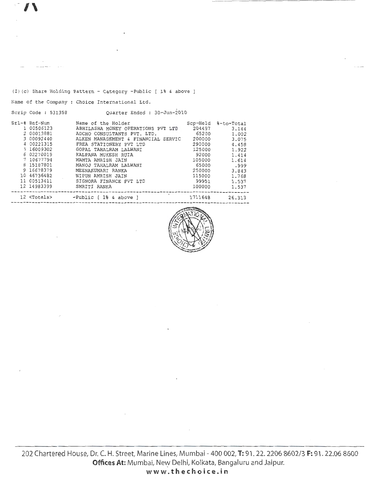Scrip Code : 531358

(I) (c) Share Holding Pattern - Category -Public [ 1% & above ]

Name of the Company : Choice International Ltd.

Quarter Ended : 30-Jun-2010

| $Srl$ -# Ref-Num     | Name of the Holder                  | Scp-Held | %-to-Total |
|----------------------|-------------------------------------|----------|------------|
| 1 00506123           | ABHILASHA MONEY OPERATIONS PVT LTD  | 204497   | 3.144      |
| 2 00013881           | ADCHO CONSULTANTS PVT. LTD.         | 65200    | 1.002      |
| 3 00092440           | ALKEN MANAGEMENT & FINANCIAL SERVIC | 200000   | 3.075      |
| 4 00221315           | FREA STATIONERY PVT LTD             | 290000   | 4.458      |
| 5 16009302           | GOPAL TAHALRAM LALWANI              | 125000   | 1.922      |
| 6 02270019           | KALPANA MUKESH RUIA                 | 92000    | 1,414      |
| 7 10677794           | MAMTA AMRISH JAIN                   | 105000   | 1.614      |
| 8 15187801           | MANOJ TAHALRAM LALWANI              | 65000    | .999       |
| 9 16678379           | MEENAKUMARI RANKA                   | 250000   | 3.843      |
| 10 46736482          | NIPUN AMRISH JAIN                   | 115000   | 1.768      |
| 11 00513411          | SIGNORA FINANCE PVT LTD             | 99951    | 1.537      |
| 12 14983399          | SMRITI RANKA                        | 100000   | 1.537      |
| 12 <totals></totals> | $-Public$ $[1$ & above $]$          | 1711648  | 26.313     |



202 Chartered House, Dr. C. H. Street, Marine Lines, Mumbai- 400 002, **T:** 91. 22. 2206 8602/3 **F:** 91. 22.06 8600 Offices At: Mumbai, New Delhi, Kolkata, Bangaluru and Jaipur. **<sup>w</sup> ww.thechoice.in**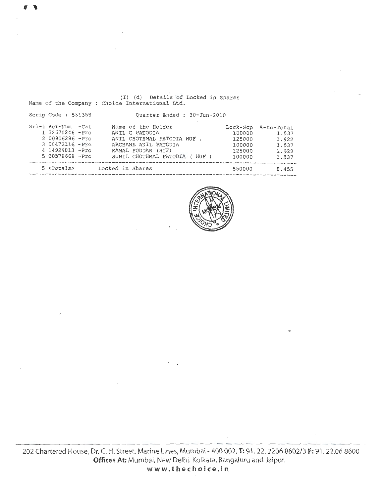Name of the Company Choice International Ltd. Scrip Code : 531358 Srl-# Ref-Num -Cat 1 32670246 -Pro 2 00906296 -Pro 3 00472116. -Pro 4 14929813 -Pro 5 00578668 -Pro Quarter Ended : 30-Jun-2010 Name of the Holder ANIL C PATODIA ANIL CHOTHMAL PATODIA HUF ARCHANA ANIL PATODIA KAMAL PODDAR (HUF) SUNIL CHOTHMAL PATODIA ( HUF Lock-Scp %-to-Total 100000 125000 100000 125000 100000 1.537 1.922 1. 537 1.922 1. 537 ----------------------------------------------------------------------------------------5 <Totals> Locked in Shares 550000 8.455 --------------------------------------------------------------------------------

(I) (d) Details 'of Locked in Shares



**www.thechoice.in**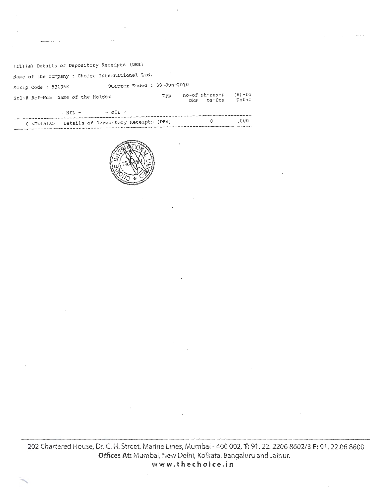## (II) (a) Details of Depository Receipts (DRs)

--------------------------------------------------------------------------------

| Name of the Company : Choice International Ltd.          |     |                              |                   |
|----------------------------------------------------------|-----|------------------------------|-------------------|
| Quarter Ended : 30-Jun-2010<br>Scrip Code: 531358        |     |                              |                   |
| Srl-# Ref-Num Name of the Holder                         | Typ | no-of sh-under<br>DRS OS-Drs | $(8)-to$<br>Total |
| $-$ NIL $-$<br>$-$ NTL $-$                               |     |                              |                   |
| 0 <totals> Details of Depository Receipts (DRs)</totals> |     | 0                            | .000              |



202 Chartered House, Dr. C. H. Street, Marine Lines, Mumbai- 400 *002,* **T:** 91. 22. 2206 8602/3 **F:** 91. 22.06 8600 **Offices At:** Mumbai, New Delhi, Kolkata, Bangaluru and Jaipur. **www.thechoice.in**